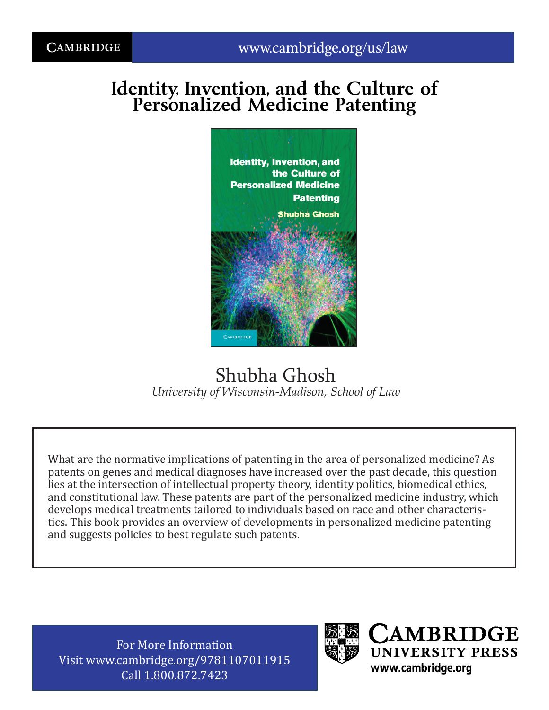# **Identity, Invention, and the Culture of Personalized Medicine Patenting**



## Shubha Ghosh *University of Wisconsin-Madison, School of Law*

What are the normative implications of patenting in the area of personalized medicine? As patents on genes and medical diagnoses have increased over the past decade, this question lies at the intersection of intellectual property theory, identity politics, biomedical ethics, and constitutional law. These patents are part of the personalized medicine industry, which develops medical treatments tailored to individuals based on race and other characteristics. This book provides an overview of developments in personalized medicine patenting and suggests policies to best regulate such patents.

For More Information Visit www.cambridge.org/9781107011915 Call 1.800.872.7423